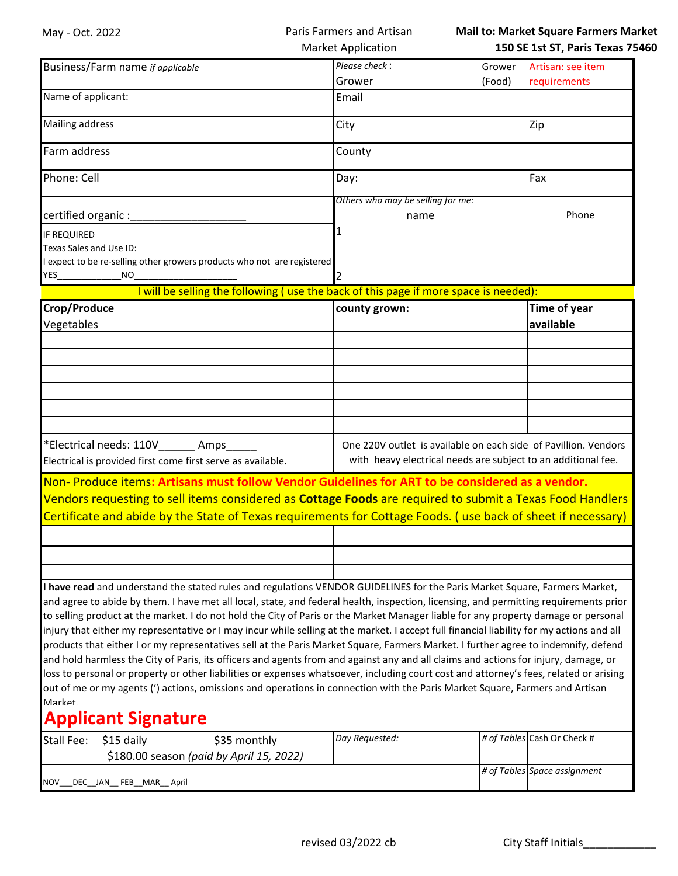|                                                                                                                                                                                                                                                                                                                                                                                                               |                                                                                      |        | <b>Mail to: Market Square Farmers Market</b> |
|---------------------------------------------------------------------------------------------------------------------------------------------------------------------------------------------------------------------------------------------------------------------------------------------------------------------------------------------------------------------------------------------------------------|--------------------------------------------------------------------------------------|--------|----------------------------------------------|
|                                                                                                                                                                                                                                                                                                                                                                                                               | <b>Market Application</b>                                                            |        | 150 SE 1st ST, Paris Texas 75460             |
| Business/Farm name if applicable                                                                                                                                                                                                                                                                                                                                                                              | Please check:                                                                        | Grower | Artisan: see item                            |
|                                                                                                                                                                                                                                                                                                                                                                                                               | Grower                                                                               | (Food) | requirements                                 |
| Name of applicant:                                                                                                                                                                                                                                                                                                                                                                                            | Email                                                                                |        |                                              |
| <b>Mailing address</b>                                                                                                                                                                                                                                                                                                                                                                                        | City                                                                                 |        | Zip                                          |
| Farm address                                                                                                                                                                                                                                                                                                                                                                                                  | County                                                                               |        |                                              |
| Phone: Cell                                                                                                                                                                                                                                                                                                                                                                                                   | Day:                                                                                 |        | Fax                                          |
|                                                                                                                                                                                                                                                                                                                                                                                                               | Others who may be selling for me:                                                    |        |                                              |
| certified organic :                                                                                                                                                                                                                                                                                                                                                                                           | name                                                                                 |        | Phone                                        |
| <b>IF REQUIRED</b><br>Texas Sales and Use ID:                                                                                                                                                                                                                                                                                                                                                                 |                                                                                      |        |                                              |
| expect to be re-selling other growers products who not are registered                                                                                                                                                                                                                                                                                                                                         |                                                                                      |        |                                              |
| NO.<br>YES                                                                                                                                                                                                                                                                                                                                                                                                    |                                                                                      |        |                                              |
|                                                                                                                                                                                                                                                                                                                                                                                                               | I will be selling the following (use the back of this page if more space is needed): |        |                                              |
| Crop/Produce                                                                                                                                                                                                                                                                                                                                                                                                  | county grown:                                                                        |        | Time of year                                 |
|                                                                                                                                                                                                                                                                                                                                                                                                               |                                                                                      |        | available                                    |
| Vegetables                                                                                                                                                                                                                                                                                                                                                                                                    |                                                                                      |        |                                              |
|                                                                                                                                                                                                                                                                                                                                                                                                               |                                                                                      |        |                                              |
|                                                                                                                                                                                                                                                                                                                                                                                                               |                                                                                      |        |                                              |
|                                                                                                                                                                                                                                                                                                                                                                                                               |                                                                                      |        |                                              |
|                                                                                                                                                                                                                                                                                                                                                                                                               |                                                                                      |        |                                              |
|                                                                                                                                                                                                                                                                                                                                                                                                               |                                                                                      |        |                                              |
|                                                                                                                                                                                                                                                                                                                                                                                                               |                                                                                      |        |                                              |
|                                                                                                                                                                                                                                                                                                                                                                                                               |                                                                                      |        |                                              |
|                                                                                                                                                                                                                                                                                                                                                                                                               |                                                                                      |        |                                              |
|                                                                                                                                                                                                                                                                                                                                                                                                               | One 220V outlet is available on each side of Pavillion. Vendors                      |        |                                              |
| *Electrical needs: 110V_______ Amps<br>Electrical is provided first come first serve as available.                                                                                                                                                                                                                                                                                                            | with heavy electrical needs are subject to an additional fee.                        |        |                                              |
| Non-Produce items: Artisans must follow Vendor Guidelines for ART to be considered as a vendor.                                                                                                                                                                                                                                                                                                               |                                                                                      |        |                                              |
| Vendors requesting to sell items considered as Cottage Foods are required to submit a Texas Food Handlers                                                                                                                                                                                                                                                                                                     |                                                                                      |        |                                              |
| Certificate and abide by the State of Texas requirements for Cottage Foods. (use back of sheet if necessary)                                                                                                                                                                                                                                                                                                  |                                                                                      |        |                                              |
|                                                                                                                                                                                                                                                                                                                                                                                                               |                                                                                      |        |                                              |
|                                                                                                                                                                                                                                                                                                                                                                                                               |                                                                                      |        |                                              |
|                                                                                                                                                                                                                                                                                                                                                                                                               |                                                                                      |        |                                              |
|                                                                                                                                                                                                                                                                                                                                                                                                               |                                                                                      |        |                                              |
| I have read and understand the stated rules and regulations VENDOR GUIDELINES for the Paris Market Square, Farmers Market,                                                                                                                                                                                                                                                                                    |                                                                                      |        |                                              |
| and agree to abide by them. I have met all local, state, and federal health, inspection, licensing, and permitting requirements prior                                                                                                                                                                                                                                                                         |                                                                                      |        |                                              |
| to selling product at the market. I do not hold the City of Paris or the Market Manager liable for any property damage or personal                                                                                                                                                                                                                                                                            |                                                                                      |        |                                              |
|                                                                                                                                                                                                                                                                                                                                                                                                               |                                                                                      |        |                                              |
| injury that either my representative or I may incur while selling at the market. I accept full financial liability for my actions and all<br>products that either I or my representatives sell at the Paris Market Square, Farmers Market. I further agree to indemnify, defend                                                                                                                               |                                                                                      |        |                                              |
|                                                                                                                                                                                                                                                                                                                                                                                                               |                                                                                      |        |                                              |
|                                                                                                                                                                                                                                                                                                                                                                                                               |                                                                                      |        |                                              |
| and hold harmless the City of Paris, its officers and agents from and against any and all claims and actions for injury, damage, or<br>loss to personal or property or other liabilities or expenses whatsoever, including court cost and attorney's fees, related or arising<br>out of me or my agents (') actions, omissions and operations in connection with the Paris Market Square, Farmers and Artisan |                                                                                      |        |                                              |
| Market                                                                                                                                                                                                                                                                                                                                                                                                        |                                                                                      |        |                                              |
| <b>Applicant Signature</b>                                                                                                                                                                                                                                                                                                                                                                                    |                                                                                      |        |                                              |
| <b>Stall Fee:</b><br>\$15 daily<br>\$35 monthly                                                                                                                                                                                                                                                                                                                                                               | Day Requested:                                                                       |        | # of Tables Cash Or Check #                  |
|                                                                                                                                                                                                                                                                                                                                                                                                               |                                                                                      |        |                                              |
| \$180.00 season (paid by April 15, 2022)                                                                                                                                                                                                                                                                                                                                                                      |                                                                                      |        | # of Tables Space assignment                 |